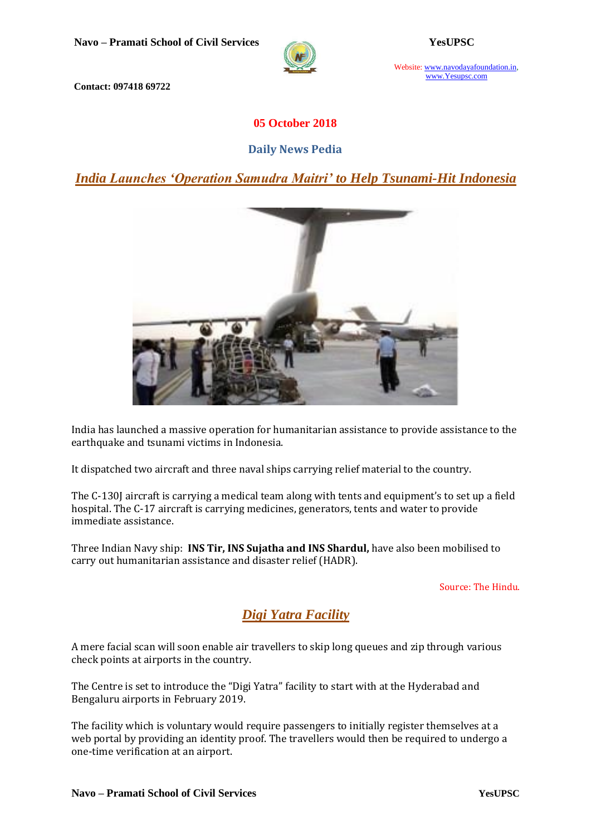

Website: www.navodayafoundation.in, www.Yesupsc.com

**Contact: 097418 69722**

## **05 October 2018**

### **Daily News Pedia**

*[India Launches 'Operation Samudra Maitri' to Help Tsunami-Hit Indonesia](https://www.civilsdaily.com/news/india-launches-operation-samudra-maitri-to-help-tsunami-hit-indonesia/)*



India has launched a massive operation for humanitarian assistance to provide assistance to the earthquake and tsunami victims in Indonesia.

It dispatched two aircraft and three naval ships carrying relief material to the country.

The C-130J aircraft is carrying a medical team along with tents and equipment's to set up a field hospital. The C-17 aircraft is carrying medicines, generators, tents and water to provide immediate assistance.

Three Indian Navy ship: **INS Tir, INS Sujatha and INS Shardul,** have also been mobilised to carry out humanitarian assistance and disaster relief (HADR).

Source: The Hindu.

# *Digi Yatra Facility*

A mere facial scan will soon enable air travellers to skip long queues and zip through various check points at airports in the country.

The Centre is set to introduce the "Digi Yatra" facility to start with at the Hyderabad and Bengaluru airports in February 2019.

The facility which is voluntary would require passengers to initially register themselves at a web portal by providing an identity proof. The travellers would then be required to undergo a one-time verification at an airport.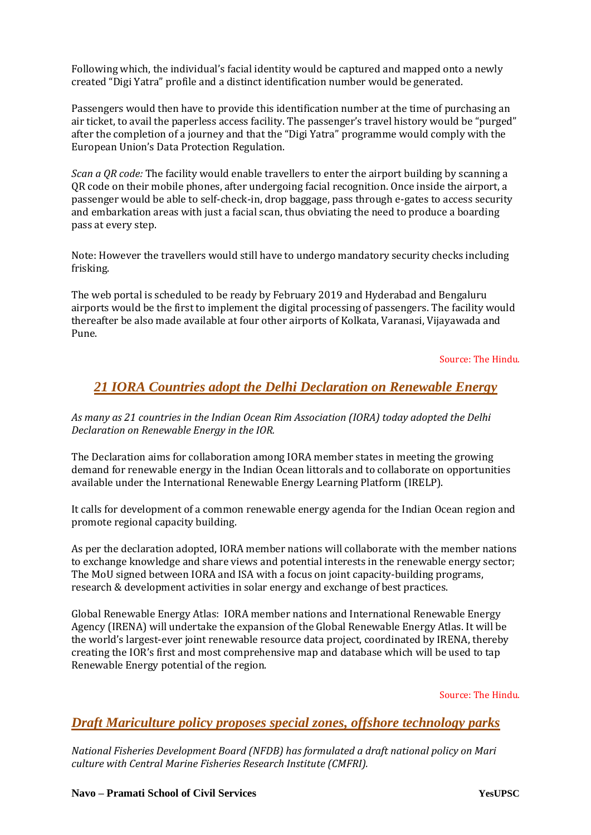Following which, the individual's facial identity would be captured and mapped onto a newly created "Digi Yatra" profile and a distinct identification number would be generated.

Passengers would then have to provide this identification number at the time of purchasing an air ticket, to avail the paperless access facility. The passenger's travel history would be "purged" after the completion of a journey and that the "Digi Yatra" programme would comply with the European Union's Data Protection Regulation.

*Scan a QR code:* The facility would enable travellers to enter the airport building by scanning a QR code on their mobile phones, after undergoing facial recognition. Once inside the airport, a passenger would be able to self-check-in, drop baggage, pass through e-gates to access security and embarkation areas with just a facial scan, thus obviating the need to produce a boarding pass at every step.

Note: However the travellers would still have to undergo mandatory security checks including frisking.

The web portal is scheduled to be ready by February 2019 and Hyderabad and Bengaluru airports would be the first to implement the digital processing of passengers. The facility would thereafter be also made available at four other airports of Kolkata, Varanasi, Vijayawada and Pune.

Source: The Hindu.

# *21 IORA Countries adopt the Delhi Declaration on Renewable Energy*

*As many as 21 countries in the Indian Ocean Rim Association (IORA) today adopted the Delhi Declaration on Renewable Energy in the IOR.*

The Declaration aims for collaboration among IORA member states in meeting the growing demand for renewable energy in the Indian Ocean littorals and to collaborate on opportunities available under the International Renewable Energy Learning Platform (IRELP).

It calls for development of a common renewable energy agenda for the Indian Ocean region and promote regional capacity building.

As per the declaration adopted, IORA member nations will collaborate with the member nations to exchange knowledge and share views and potential interests in the renewable energy sector; The MoU signed between IORA and ISA with a focus on joint capacity-building programs, research & development activities in solar energy and exchange of best practices.

Global Renewable Energy Atlas: IORA member nations and International Renewable Energy Agency (IRENA) will undertake the expansion of the Global Renewable Energy Atlas. It will be the world's largest-ever joint renewable resource data project, coordinated by IRENA, thereby creating the IOR's first and most comprehensive map and database which will be used to tap Renewable Energy potential of the region.

Source: The Hindu.

# *[Draft Mariculture policy proposes special zones, offshore technology parks](https://www.thehindubusinessline.com/economy/agri-business/draft-mariculture-policy-proposes-special-zones/article25125879.ece)*

*National Fisheries Development Board (NFDB) has formulated a draft national policy on Mari culture with Central Marine Fisheries Research Institute (CMFRI).*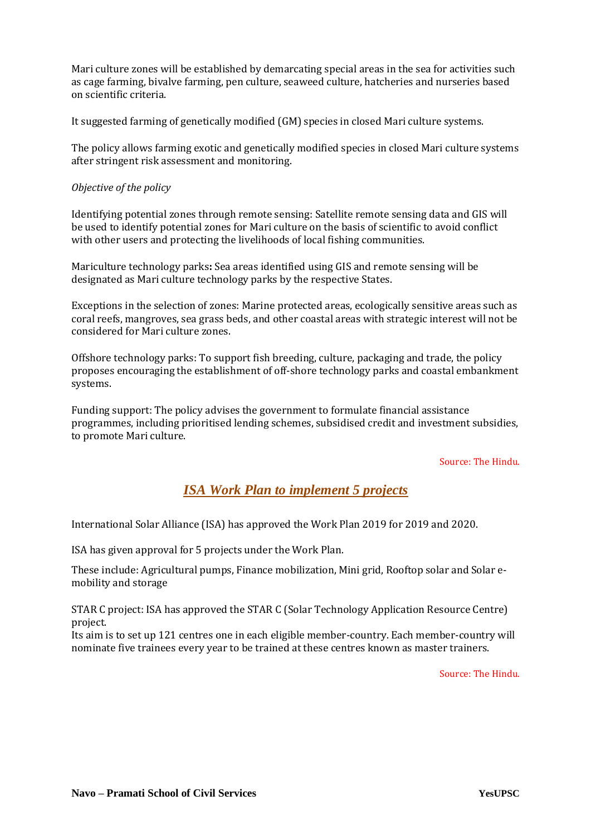Mari culture zones will be established by demarcating special areas in the sea for activities such as cage farming, bivalve farming, pen culture, seaweed culture, hatcheries and nurseries based on scientific criteria.

It suggested farming of genetically modified (GM) species in closed Mari culture systems.

The policy allows farming exotic and genetically modified species in closed Mari culture systems after stringent risk assessment and monitoring.

#### *Objective of the policy*

Identifying potential zones through remote sensing: Satellite remote sensing data and GIS will be used to identify potential zones for Mari culture on the basis of scientific to avoid conflict with other users and protecting the livelihoods of local fishing communities.

Mariculture technology parks**:** Sea areas identified using GIS and remote sensing will be designated as Mari culture technology parks by the respective States.

Exceptions in the selection of zones: Marine protected areas, ecologically sensitive areas such as coral reefs, mangroves, sea grass beds, and other coastal areas with strategic interest will not be considered for Mari culture zones.

Offshore technology parks: To support fish breeding, culture, packaging and trade, the policy proposes encouraging the establishment of off-shore technology parks and coastal embankment systems.

Funding support: The policy advises the government to formulate financial assistance programmes, including prioritised lending schemes, subsidised credit and investment subsidies, to promote Mari culture.

#### Source: The Hindu.

# *[ISA Work Plan to implement 5 projects](https://www.thehindubusinessline.com/news/isa-work-plan-2019-to-implement-5-projects/article25125576.ece)*

International Solar Alliance (ISA) has approved the Work Plan 2019 for 2019 and 2020.

ISA has given approval for 5 projects under the Work Plan.

These include: Agricultural pumps, Finance mobilization, Mini grid, Rooftop solar and Solar emobility and storage

STAR C project: ISA has approved the STAR C (Solar Technology Application Resource Centre) project.

Its aim is to set up 121 centres one in each eligible member-country. Each member-country will nominate five trainees every year to be trained at these centres known as master trainers.

Source: The Hindu.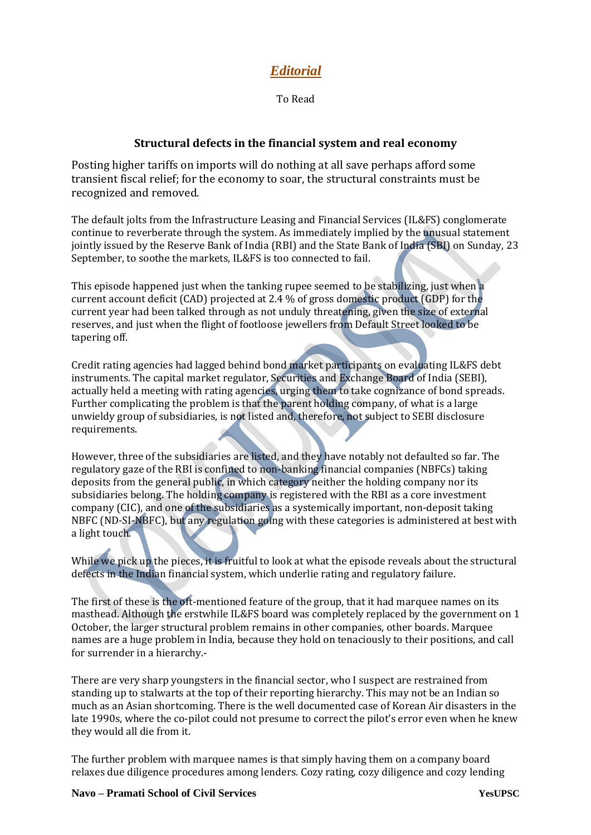# *Editorial*

To Read

### **Structural defects in the financial system and real economy**

Posting higher tariffs on imports will do nothing at all save perhaps afford some transient fiscal relief; for the economy to soar, the structural constraints must be recognized and removed.

The default jolts from the Infrastructure Leasing and Financial Services (IL&FS) conglomerate continue to reverberate through the system. As immediately implied by the unusual statement jointly issued by the Reserve Bank of India (RBI) and the State Bank of India (SBI) on Sunday, 23 September, to soothe the markets, IL&FS is too connected to fail.

This episode happened just when the tanking rupee seemed to be stabilizing, just when a current account deficit (CAD) projected at 2.4 % of gross domestic product (GDP) for the current year had been talked through as not unduly threatening, given the size of external reserves, and just when the flight of footloose jewellers from Default Street looked to be tapering off.

Credit rating agencies had lagged behind bond market participants on evaluating IL&FS debt instruments. The capital market regulator, Securities and Exchange Board of India (SEBI), actually held a meeting with rating agencies, urging them to take cognizance of bond spreads. Further complicating the problem is that the parent holding company, of what is a large unwieldy group of subsidiaries, is not listed and, therefore, not subject to SEBI disclosure requirements.

However, three of the subsidiaries are listed, and they have notably not defaulted so far. The regulatory gaze of the RBI is confined to non-banking financial companies (NBFCs) taking deposits from the general public, in which category neither the holding company nor its subsidiaries belong. The holding company is registered with the RBI as a core investment company (CIC), and one of the subsidiaries as a systemically important, non-deposit taking NBFC (ND-SI-NBFC), but any regulation going with these categories is administered at best with a light touch.

While we pick up the pieces, it is fruitful to look at what the episode reveals about the structural defects in the Indian financial system, which underlie rating and regulatory failure.

The first of these is the oft-mentioned feature of the group, that it had marquee names on its masthead. Although the erstwhile IL&FS board was completely replaced by the government on 1 October, the larger structural problem remains in other companies, other boards. Marquee names are a huge problem in India, because they hold on tenaciously to their positions, and call for surrender in a hierarchy.-

There are very sharp youngsters in the financial sector, who I suspect are restrained from standing up to stalwarts at the top of their reporting hierarchy. This may not be an Indian so much as an Asian shortcoming. There is the well documented case of Korean Air disasters in the late 1990s, where the co-pilot could not presume to correct the pilot's error even when he knew they would all die from it.

The further problem with marquee names is that simply having them on a company board relaxes due diligence procedures among lenders. Cozy rating, cozy diligence and cozy lending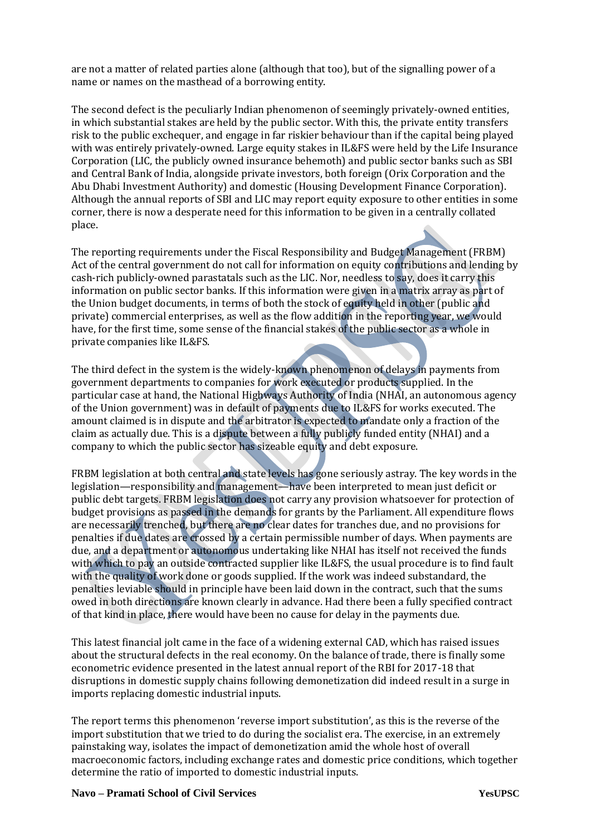are not a matter of related parties alone (although that too), but of the signalling power of a name or names on the masthead of a borrowing entity.

The second defect is the peculiarly Indian phenomenon of seemingly privately-owned entities, in which substantial stakes are held by the public sector. With this, the private entity transfers risk to the public exchequer, and engage in far riskier behaviour than if the capital being played with was entirely privately-owned. Large equity stakes in IL&FS were held by the Life Insurance Corporation (LIC, the publicly owned insurance behemoth) and public sector banks such as SBI and Central Bank of India, alongside private investors, both foreign (Orix Corporation and the Abu Dhabi Investment Authority) and domestic (Housing Development Finance Corporation). Although the annual reports of SBI and LIC may report equity exposure to other entities in some corner, there is now a desperate need for this information to be given in a centrally collated place.

The reporting requirements under the Fiscal Responsibility and Budget Management (FRBM) Act of the central government do not call for information on equity contributions and lending by cash-rich publicly-owned parastatals such as the LIC. Nor, needless to say, does it carry this information on public sector banks. If this information were given in a matrix array as part of the Union budget documents, in terms of both the stock of equity held in other (public and private) commercial enterprises, as well as the flow addition in the reporting year, we would have, for the first time, some sense of the financial stakes of the public sector as a whole in private companies like IL&FS.

The third defect in the system is the widely-known phenomenon of delays in payments from government departments to companies for work executed or products supplied. In the particular case at hand, the National Highways Authority of India (NHAI, an autonomous agency of the Union government) was in default of payments due to IL&FS for works executed. The amount claimed is in dispute and the arbitrator is expected to mandate only a fraction of the claim as actually due. This is a dispute between a fully publicly funded entity (NHAI) and a company to which the public sector has sizeable equity and debt exposure.

FRBM legislation at both central and state levels has gone seriously astray. The key words in the legislation—responsibility and management—have been interpreted to mean just deficit or public debt targets. FRBM legislation does not carry any provision whatsoever for protection of budget provisions as passed in the demands for grants by the Parliament. All expenditure flows are necessarily trenched, but there are no clear dates for tranches due, and no provisions for penalties if due dates are crossed by a certain permissible number of days. When payments are due, and a department or autonomous undertaking like NHAI has itself not received the funds with which to pay an outside contracted supplier like IL&FS, the usual procedure is to find fault with the quality of work done or goods supplied. If the work was indeed substandard, the penalties leviable should in principle have been laid down in the contract, such that the sums owed in both directions are known clearly in advance. Had there been a fully specified contract of that kind in place, there would have been no cause for delay in the payments due.

This latest financial jolt came in the face of a widening external CAD, which has raised issues about the structural defects in the real economy. On the balance of trade, there is finally some econometric evidence presented in the latest annual report of the RBI for 2017-18 that disruptions in domestic supply chains following demonetization did indeed result in a surge in imports replacing domestic industrial inputs.

The report terms this phenomenon 'reverse import substitution', as this is the reverse of the import substitution that we tried to do during the socialist era. The exercise, in an extremely painstaking way, isolates the impact of demonetization amid the whole host of overall macroeconomic factors, including exchange rates and domestic price conditions, which together determine the ratio of imported to domestic industrial inputs.